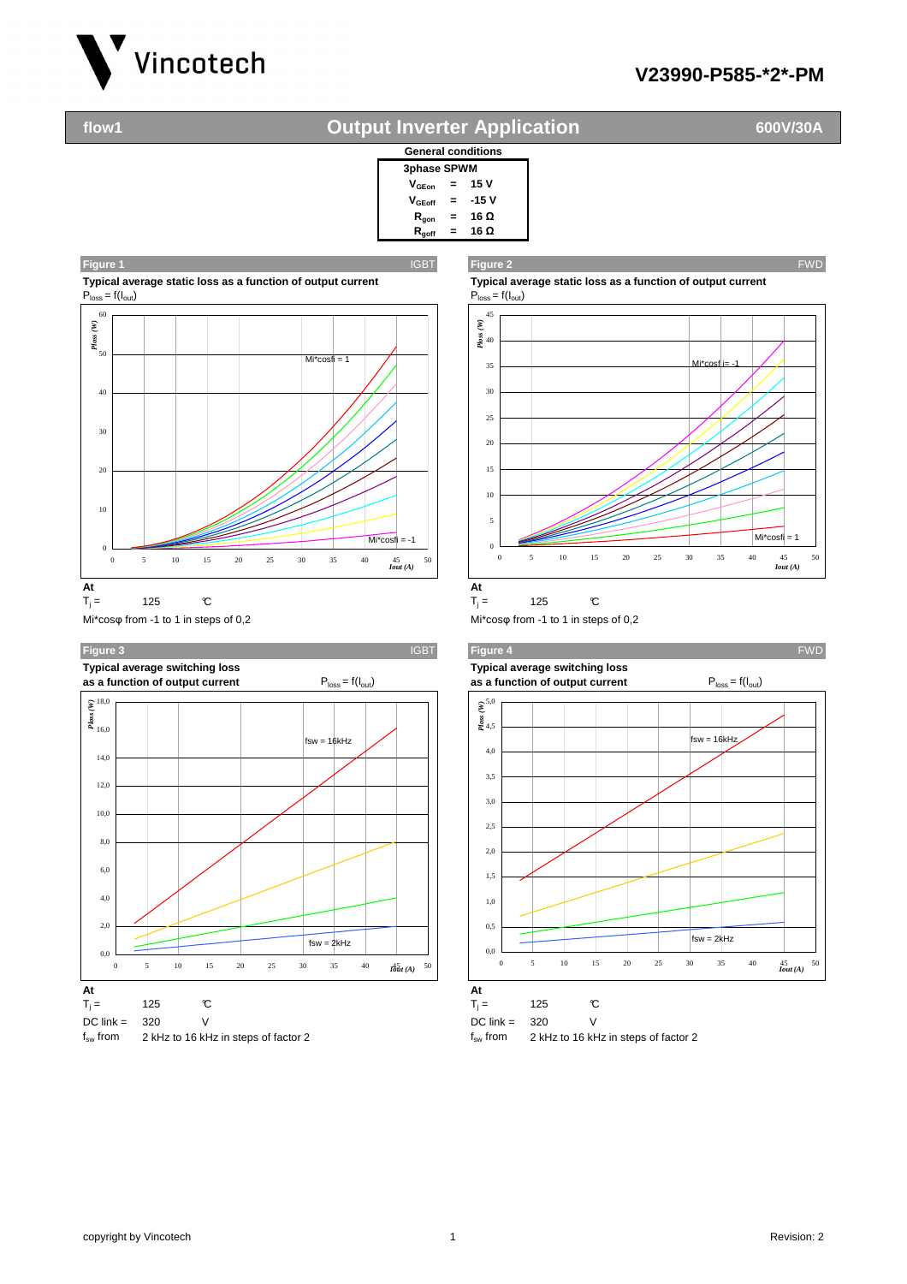

## **V23990-P585-\*2\*-PM**

## **flow1 600V/30A Output Inverter Application**



**Typical average static loss as a function of output current Typical average static loss as a function of output current**<br>  $P_{loss} = f(l_{out})$ 



Mi\*cosφ from -1 to 1 in steps of 0,2 Mi\*cosφ from -1 to 1 in steps of 0,2





**Figure 1** IGBT **Figure 2** FWD





 $T_j = 125$  °C







0 5 10 15 20 25 30 35 40 45 50



*Iout (A)*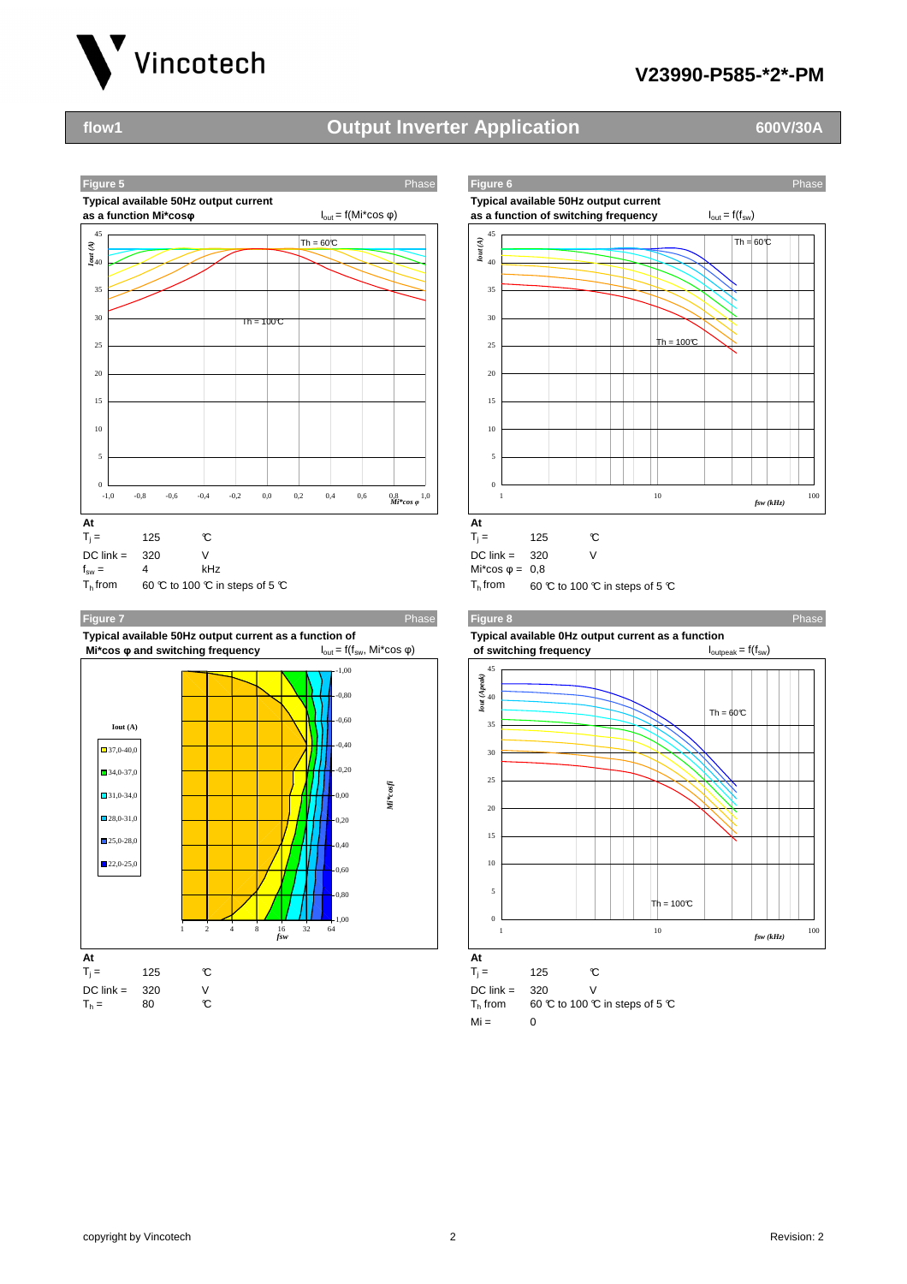

## **V23990-P585-\*2\*-PM**

# **flow1 600V/30A Output Inverter Application**



**Typical available 50Hz output current as a function of Typical available 0Hz output current as a function Mi\*cos φ and switching frequency**  $I_{\text{out}} = f(f_{\text{sw}}, Mi* \cos φ)$  **of switching frequency** I<sub>outpeak</sub> = f(f<sub>sw</sub>)







| $\Gamma_{\rm i} =$                               | 125  | r.                            |
|--------------------------------------------------|------|-------------------------------|
| DC link =<br>$\mathsf{\Gamma}_{\mathsf{h}}$ from | -320 | 60 ℃ to 100 ℃ in steps of 5 ℃ |
| ست ۱۸i                                           |      |                               |

## $Mi = 0$